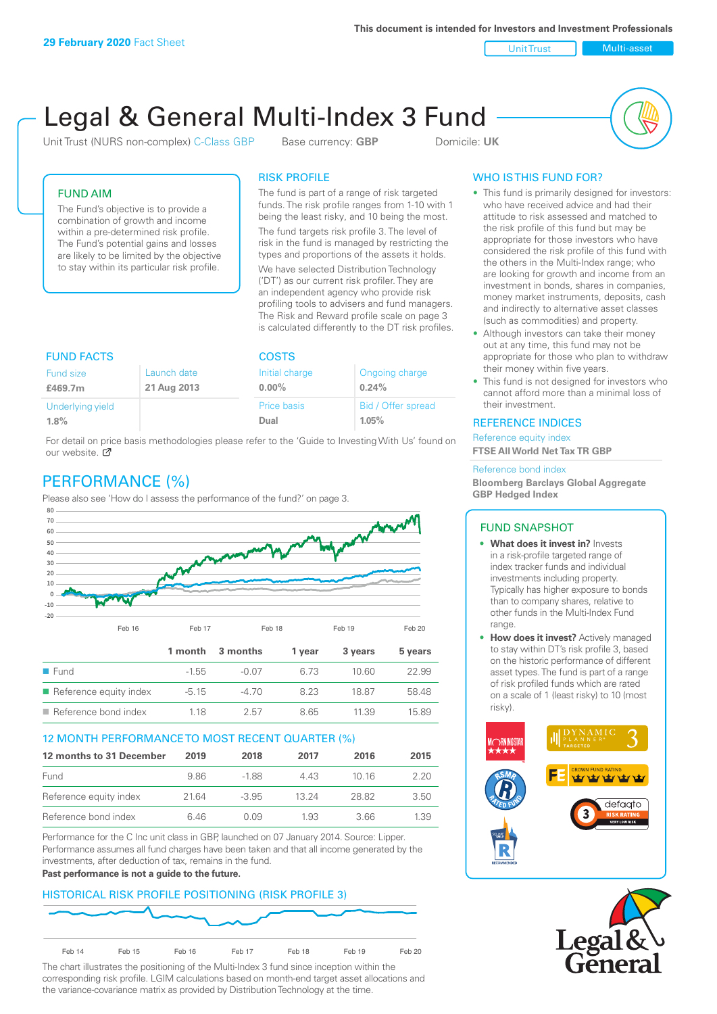**This document is intended for Investors and Investment Professionals**

Unit Trust Nulti-asset

# Legal & General Multi-Index 3 Fund

Unit Trust (NURS non-complex) C-Class GBP Base currency: **GBP** Domicile: UK



## FUND AIM

The Fund's objective is to provide a combination of growth and income within a pre-determined risk profile. The Fund's potential gains and losses are likely to be limited by the objective to stay within its particular risk profile.

## RISK PROFILE

The fund is part of a range of risk targeted funds. The risk profile ranges from 1-10 with 1 being the least risky, and 10 being the most.

The fund targets risk profile 3. The level of risk in the fund is managed by restricting the types and proportions of the assets it holds. We have selected Distribution Technology ('DT') as our current risk profiler. They are an independent agency who provide risk profiling tools to advisers and fund managers. The Risk and Reward profile scale on page 3 is calculated differently to the DT risk profiles.

| <b>FUND FACTS</b> |             | <b>COSTS</b>   |                    |  |
|-------------------|-------------|----------------|--------------------|--|
| Fund size         | Launch date | Initial charge | Ongoing charge     |  |
| £469.7m           | 21 Aug 2013 | $0.00\%$       | 0.24%              |  |
| Underlying yield  |             | Price basis    | Bid / Offer spread |  |
| 1.8%              |             | Dual           | 1.05%              |  |

For detail on price basis methodologies please refer to the 'Guide to Investing With Us' found on our website. Ø

# PERFORMANCE (%)

Please also see 'How do I assess the performance of the fund?' on page 3.



### 12 MONTH PERFORMANCE TO MOST RECENT QUARTER (%)

| 12 months to 31 December | 2019 | 2018    | 2017  | 2016  | 2015 |
|--------------------------|------|---------|-------|-------|------|
| Fund                     | 9.86 | -188    | 4 4 3 | 10 16 | 2.20 |
| Reference equity index   | 2164 | $-3.95$ | 13 24 | 28.82 | 3.50 |
| Reference bond index     | 6 46 | N N9    | 1.93  | 3.66  | 1.39 |

Performance for the C Inc unit class in GBP, launched on 07 January 2014. Source: Lipper. Performance assumes all fund charges have been taken and that all income generated by the investments, after deduction of tax, remains in the fund.

#### **Past performance is not a guide to the future.**

# HISTORICAL RISK PROFILE POSITIONING (RISK PROFILE 3)



The chart illustrates the positioning of the Multi-Index 3 fund since inception within the corresponding risk profile. LGIM calculations based on month-end target asset allocations and the variance-covariance matrix as provided by Distribution Technology at the time.

# WHO IS THIS FUND FOR?

- This fund is primarily designed for investors: who have received advice and had their attitude to risk assessed and matched to the risk profile of this fund but may be appropriate for those investors who have considered the risk profile of this fund with the others in the Multi-Index range; who are looking for growth and income from an investment in bonds, shares in companies, money market instruments, deposits, cash and indirectly to alternative asset classes (such as commodities) and property.
- Although investors can take their money out at any time, this fund may not be appropriate for those who plan to withdraw their money within five years.
- This fund is not designed for investors who cannot afford more than a minimal loss of their investment.

## REFERENCE INDICES

Reference equity index **FTSE All World Net Tax TR GBP**

#### Reference bond index

**Bloomberg Barclays Global Aggregate GBP Hedged Index**

### FUND SNAPSHOT

- **• What does it invest in?** Invests in a risk-profile targeted range of index tracker funds and individual investments including property. Typically has higher exposure to bonds than to company shares, relative to other funds in the Multi-Index Fund range.
- **• How does it invest?** Actively managed to stay within DT's risk profile 3, based on the historic performance of different asset types. The fund is part of a range of risk profiled funds which are rated on a scale of 1 (least risky) to 10 (most risky).



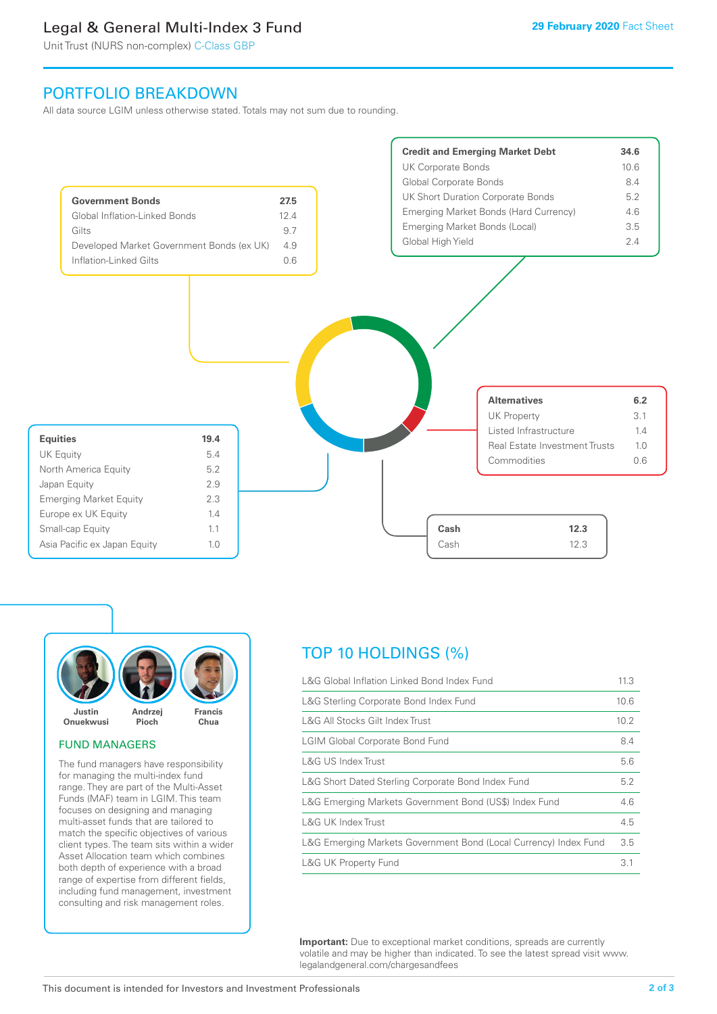# Legal & General Multi-Index 3 Fund

Unit Trust (NURS non-complex) C-Class GBP

# PORTFOLIO BREAKDOWN

All data source LGIM unless otherwise stated. Totals may not sum due to rounding.





### FUND MANAGERS

The fund managers have responsibility for managing the multi-index fund range. They are part of the Multi-Asset Funds (MAF) team in LGIM. This team focuses on designing and managing multi-asset funds that are tailored to match the specific objectives of various client types. The team sits within a wider Asset Allocation team which combines both depth of experience with a broad range of expertise from different fields, including fund management, investment consulting and risk management roles.

# TOP 10 HOLDINGS (%)

| L&G Global Inflation Linked Bond Index Fund                      | 11.3 |
|------------------------------------------------------------------|------|
| L&G Sterling Corporate Bond Index Fund                           | 10.6 |
| L&G All Stocks Gilt Index Trust                                  | 10.2 |
| <b>LGIM Global Corporate Bond Fund</b>                           | 8.4  |
| L&G US Index Trust                                               | 5.6  |
| L&G Short Dated Sterling Corporate Bond Index Fund               | 5.2  |
| L&G Emerging Markets Government Bond (US\$) Index Fund           | 4.6  |
| <b>L&amp;G UK Index Trust</b>                                    | 4.5  |
| L&G Emerging Markets Government Bond (Local Currency) Index Fund | 3.5  |
| L&G UK Property Fund                                             | 3.1  |

**Important:** Due to exceptional market conditions, spreads are currently volatile and may be higher than indicated. To see the latest spread visit www. legalandgeneral.com/chargesandfees